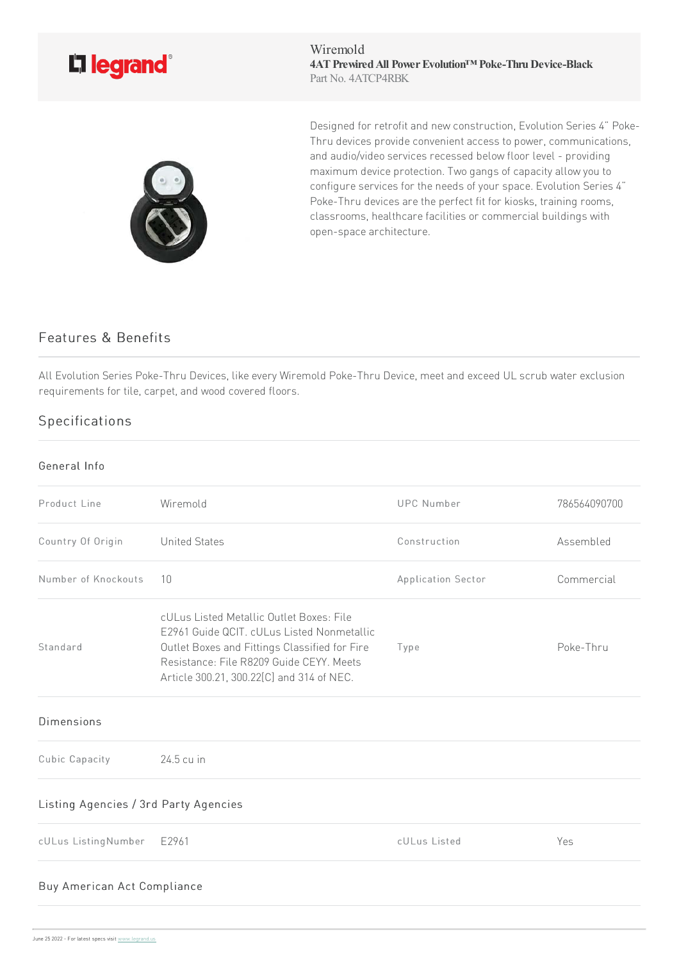

Wiremold **4ATPrewiredAll PowerEvolution™ Poke-ThruDevice-Black** Part No. 4ATCP4RBK



Designed for retrofit and new construction, Evolution Series 4" Poke-Thru devices provide convenient access to power, communications, and audio/video services recessed below floor level - providing maximum device protection. Two gangs of capacity allow you to configure services for the needs of your space. Evolution Series 4" Poke-Thru devices are the perfect fit for kiosks, training rooms, classrooms, healthcare facilities or commercial buildings with open-space architecture.

## Features & Benefits

All Evolution Series Poke-Thru Devices, like every Wiremold Poke-Thru Device, meet and exceed UL scrub water exclusion requirements for tile, carpet, and wood covered floors.

## Specifications

## General Info

| Product Line                          | Wiremold                                                                                                                                                                                                                         | <b>UPC Number</b>  | 786564090700 |  |
|---------------------------------------|----------------------------------------------------------------------------------------------------------------------------------------------------------------------------------------------------------------------------------|--------------------|--------------|--|
| Country Of Origin                     | <b>United States</b>                                                                                                                                                                                                             | Construction       | Assembled    |  |
| Number of Knockouts                   | 10                                                                                                                                                                                                                               | Application Sector | Commercial   |  |
| Standard                              | cULus Listed Metallic Outlet Boxes: File<br>E2961 Guide QCIT. cULus Listed Nonmetallic<br>Outlet Boxes and Fittings Classified for Fire<br>Resistance: File R8209 Guide CEYY, Meets<br>Article 300.21, 300.22[C] and 314 of NEC. | Type               | Poke-Thru    |  |
| <b>Dimensions</b>                     |                                                                                                                                                                                                                                  |                    |              |  |
| Cubic Capacity                        | 24.5 cu in                                                                                                                                                                                                                       |                    |              |  |
| Listing Agencies / 3rd Party Agencies |                                                                                                                                                                                                                                  |                    |              |  |
| cULus ListingNumber                   | E2961                                                                                                                                                                                                                            | cULus Listed       | Yes          |  |
| Buy American Act Compliance           |                                                                                                                                                                                                                                  |                    |              |  |